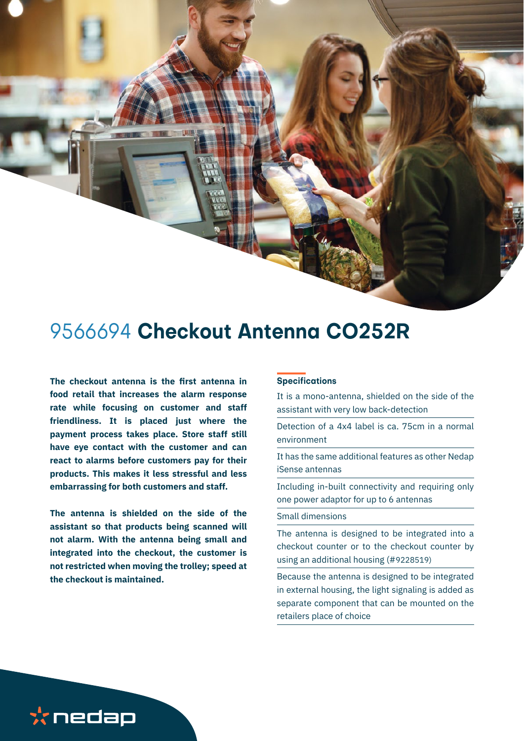

# 9566694 **Checkout Antenna CO252R**

**The checkout antenna is the first antenna in food retail that increases the alarm response rate while focusing on customer and staff friendliness. It is placed just where the payment process takes place. Store staff still have eye contact with the customer and can react to alarms before customers pay for their products. This makes it less stressful and less embarrassing for both customers and staff.** 

**The antenna is shielded on the side of the assistant so that products being scanned will not alarm. With the antenna being small and integrated into the checkout, the customer is not restricted when moving the trolley; speed at the checkout is maintained.** 

#### **Specifications**

It is a mono-antenna, shielded on the side of the assistant with very low back-detection

Detection of a 4x4 label is ca. 75cm in a normal environment

It has the same additional features as other Nedap iSense antennas

Including in-built connectivity and requiring only one power adaptor for up to 6 antennas

#### Small dimensions

The antenna is designed to be integrated into a checkout counter or to the checkout counter by using an additional housing (#9228519)

Because the antenna is designed to be integrated in external housing, the light signaling is added as separate component that can be mounted on the retailers place of choice